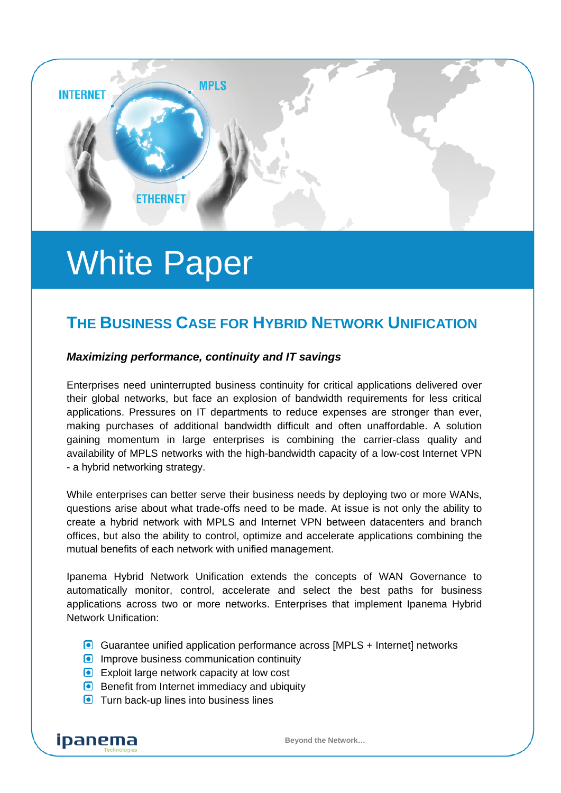

# White Paper

## **THE BUSINESS CASE FOR HYBRID NETWORK UNIFICATION**

#### *Maximizing performance, continuity and IT savings*

Enterprises need uninterrupted business continuity for critical applications delivered over their global networks, but face an explosion of bandwidth requirements for less critical applications. Pressures on IT departments to reduce expenses are stronger than ever, making purchases of additional bandwidth difficult and often unaffordable. A solution gaining momentum in large enterprises is combining the carrier-class quality and availability of MPLS networks with the high-bandwidth capacity of a low-cost Internet VPN - a hybrid networking strategy.

While enterprises can better serve their business needs by deploying two or more WANs, questions arise about what trade-offs need to be made. At issue is not only the ability to create a hybrid network with MPLS and Internet VPN between datacenters and branch offices, but also the ability to control, optimize and accelerate applications combining the mutual benefits of each network with unified management.

Ipanema Hybrid Network Unification extends the concepts of WAN Governance to automatically monitor, control, accelerate and select the best paths for business applications across two or more networks. Enterprises that implement Ipanema Hybrid Network Unification:

- Guarantee unified application performance across [MPLS + Internet] networks
- **Improve business communication continuity**
- **Exploit large network capacity at low cost**
- Benefit from Internet immediacy and ubiquity
- **O** Turn back-up lines into business lines

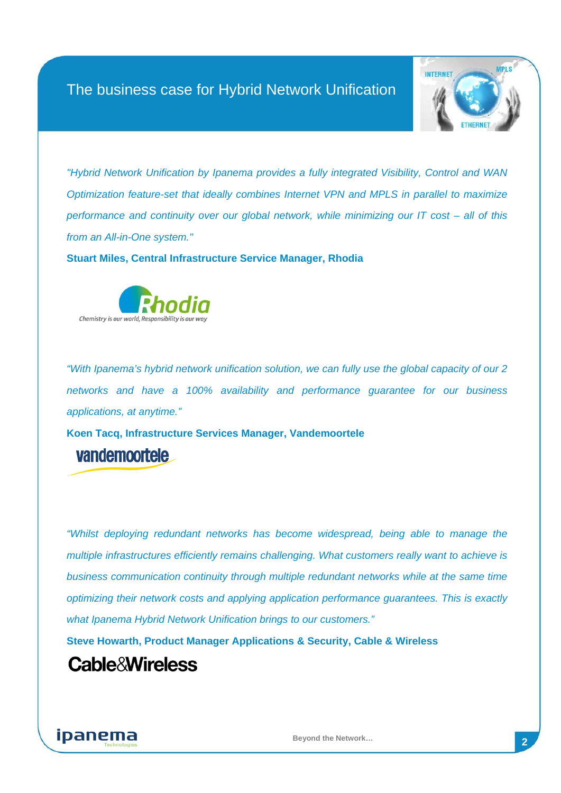

*"Hybrid Network Unification by Ipanema provides a fully integrated Visibility, Control and WAN Optimization feature-set that ideally combines Internet VPN and MPLS in parallel to maximize performance and continuity over our global network, while minimizing our IT cost – all of this from an All-in-One system."*

**Stuart Miles, Central Infrastructure Service Manager, Rhodia**



*"With Ipanema's hybrid network unification solution, we can fully use the global capacity of our 2 networks and have a 100% availability and performance guarantee for our business applications, at anytime."*

**Koen Tacq, Infrastructure Services Manager, Vandemoortele** vandemoortele

*"Whilst deploying redundant networks has become widespread, being able to manage the multiple infrastructures efficiently remains challenging. What customers really want to achieve is business communication continuity through multiple redundant networks while at the same time optimizing their network costs and applying application performance guarantees. This is exactly what Ipanema Hybrid Network Unification brings to our customers."*

**Steve Howarth, Product Manager Applications & Security, [Cable & Wireless](http://www.linkedin.com/companies/1475/Cable+%26+Wireless?trk=pp_no_icon&goback=%2Efps_steve+howarth_*1_*1_*1_*1_*1_*1_*1_Y_*1_*1_*1_false_1_R_true_*2_*2_*2_*2_*2_*2_*2_*2_*2_*2_*2_*2_*2_*2_*2_*2_*2_*2_*2_*2)**

# **Cable&Wireless**

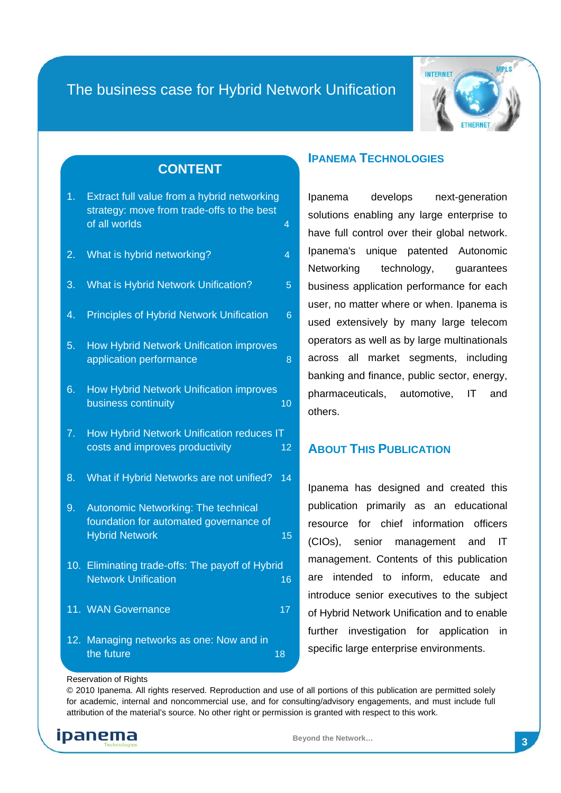

#### **CONTENT**

| 1. Extract full value from a hybrid networking |   |
|------------------------------------------------|---|
| strategy: move from trade-offs to the best     |   |
| of all worlds                                  | 4 |
|                                                |   |

- 2. [What is hybrid networking? 4](#page-3-1)
- 3. [What is Hybrid Network Unification? 5](#page-4-0)
- 4. [Principles of Hybrid Network Unification 6](#page-5-0)
- 5. [How Hybrid Network Unification improves](#page-7-0)  application performance and a state of  $\sim$  8
- 6. [How Hybrid Network Unification improves](#page-9-0)  business continuity and the continuity of the continuity of the continuity of the continuity of the continuity
- 7. [How Hybrid Network Unification reduces IT](#page-11-0)  [costs and improves productivity 12](#page-11-0)
- 8. [What if Hybrid Networks are not unified? 14](#page-13-0)
- 9. [Autonomic Networking: The technical](#page-14-0)  [foundation for automated governance of](#page-14-0)  [Hybrid Network 15](#page-14-0)
- 10. [Eliminating trade-offs: The payoff of Hybrid](#page-15-0)  [Network Unification 16](#page-15-0)
- 11. [WAN Governance 17](#page-16-0)
- 12. [Managing networks as one: Now and in](#page-17-0)  [the future 18](#page-17-0) and 18 and 18 and 18 and 18 and 18 and 18 and 18 and 18 and 18 and 18 and 18 and 18 and 18 and 1

#### **IPANEMA TECHNOLOGIES**

Ipanema develops next-generation solutions enabling any large enterprise to have full control over their global network. Ipanema's unique patented Autonomic Networking technology, guarantees business application performance for each user, no matter where or when. Ipanema is used extensively by many large telecom operators as well as by large multinationals across all market segments, including banking and finance, public sector, energy, pharmaceuticals, automotive, IT and others.

#### **ABOUT THIS PUBLICATION**

Ipanema has designed and created this publication primarily as an educational resource for chief information officers (CIOs), senior management and IT management. Contents of this publication are intended to inform, educate and introduce senior executives to the subject of Hybrid Network Unification and to enable further investigation for application in specific large enterprise environments.

#### Reservation of Rights

© 2010 Ipanema. All rights reserved. Reproduction and use of all portions of this publication are permitted solely for academic, internal and noncommercial use, and for consulting/advisory engagements, and must include full attribution of the material's source. No other right or permission is granted with respect to this work.

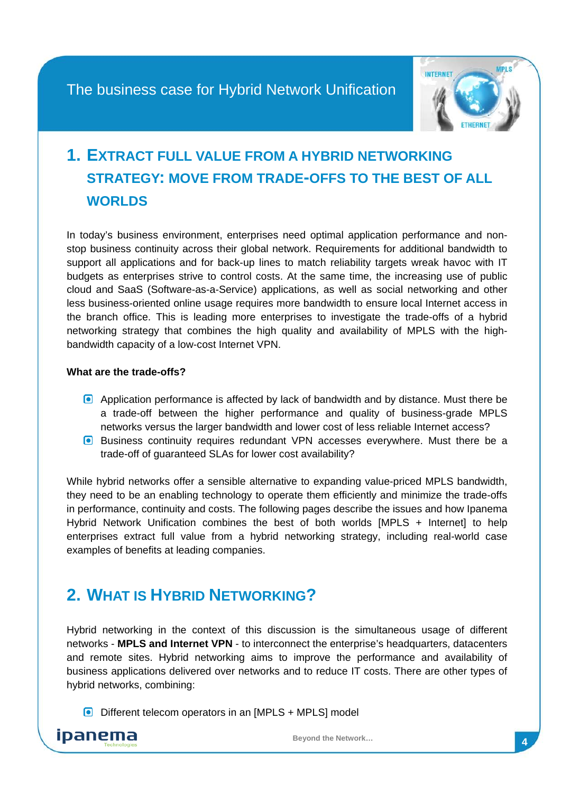

# <span id="page-3-0"></span>**1. EXTRACT FULL VALUE FROM A HYBRID NETWORKING STRATEGY: MOVE FROM TRADE-OFFS TO THE BEST OF ALL WORLDS**

In today's business environment, enterprises need optimal application performance and nonstop business continuity across their global network. Requirements for additional bandwidth to support all applications and for back-up lines to match reliability targets wreak havoc with IT budgets as enterprises strive to control costs. At the same time, the increasing use of public cloud and SaaS (Software-as-a-Service) applications, as well as social networking and other less business-oriented online usage requires more bandwidth to ensure local Internet access in the branch office. This is leading more enterprises to investigate the trade-offs of a hybrid networking strategy that combines the high quality and availability of MPLS with the highbandwidth capacity of a low-cost Internet VPN.

#### **What are the trade-offs?**

- Application performance is affected by lack of bandwidth and by distance. Must there be a trade-off between the higher performance and quality of business-grade MPLS networks versus the larger bandwidth and lower cost of less reliable Internet access?
- **Business continuity requires redundant VPN accesses everywhere. Must there be a** trade-off of guaranteed SLAs for lower cost availability?

While hybrid networks offer a sensible alternative to expanding value-priced MPLS bandwidth, they need to be an enabling technology to operate them efficiently and minimize the trade-offs in performance, continuity and costs. The following pages describe the issues and how Ipanema Hybrid Network Unification combines the best of both worlds [MPLS + Internet] to help enterprises extract full value from a hybrid networking strategy, including real-world case examples of benefits at leading companies.

# <span id="page-3-1"></span>**2. WHAT IS HYBRID NETWORKING?**

Hybrid networking in the context of this discussion is the simultaneous usage of different networks - **MPLS and Internet VPN** - to interconnect the enterprise's headquarters, datacenters and remote sites. Hybrid networking aims to improve the performance and availability of business applications delivered over networks and to reduce IT costs. There are other types of hybrid networks, combining:

 $\Box$  Different telecom operators in an [MPLS + MPLS] model

ipanema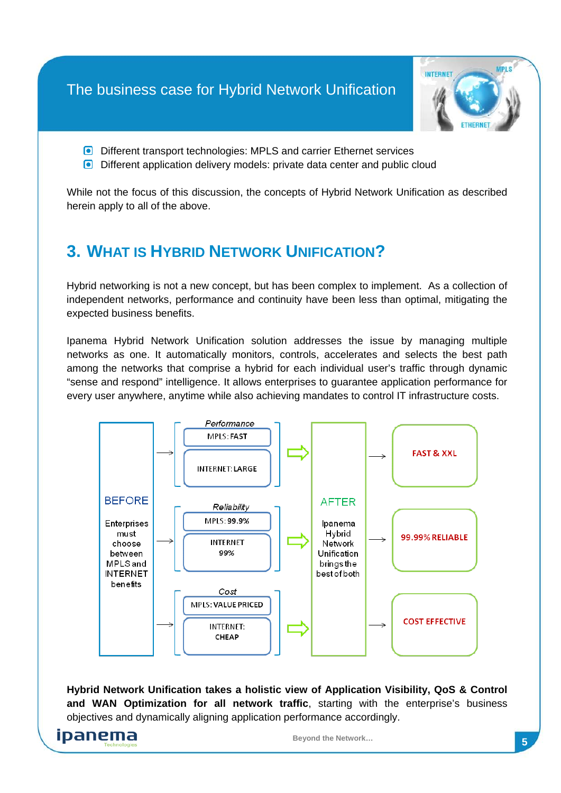

- **D** Different transport technologies: MPLS and carrier Ethernet services
- **Different application delivery models: private data center and public cloud**

While not the focus of this discussion, the concepts of Hybrid Network Unification as described herein apply to all of the above.

# <span id="page-4-0"></span>**3. WHAT IS HYBRID NETWORK UNIFICATION?**

Hybrid networking is not a new concept, but has been complex to implement. As a collection of independent networks, performance and continuity have been less than optimal, mitigating the expected business benefits.

Ipanema Hybrid Network Unification solution addresses the issue by managing multiple networks as one. It automatically monitors, controls, accelerates and selects the best path among the networks that comprise a hybrid for each individual user's traffic through dynamic "sense and respond" intelligence. It allows enterprises to guarantee application performance for every user anywhere, anytime while also achieving mandates to control IT infrastructure costs.



**Hybrid Network Unification takes a holistic view of Application Visibility, QoS & Control and WAN Optimization for all network traffic**, starting with the enterprise's business objectives and dynamically aligning application performance accordingly.

ipanema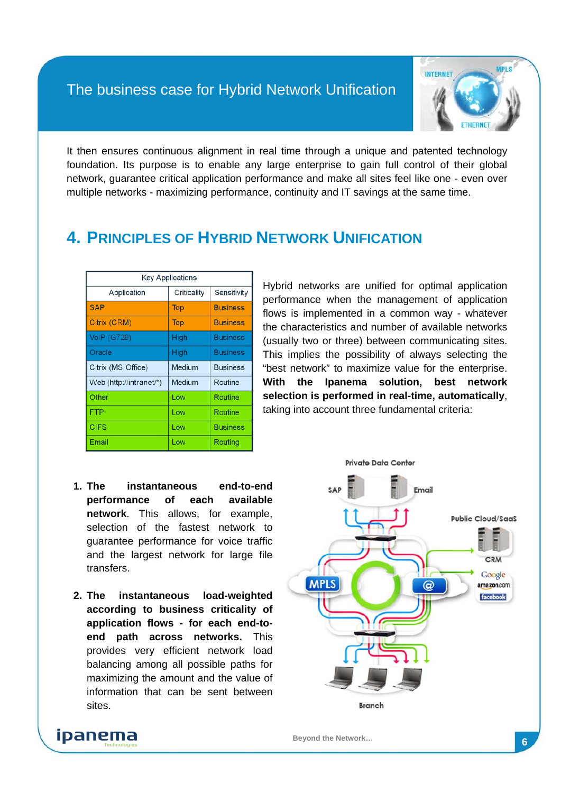

It then ensures continuous alignment in real time through a unique and patented technology foundation. Its purpose is to enable any large enterprise to gain full control of their global network, guarantee critical application performance and make all sites feel like one - even over multiple networks - maximizing performance, continuity and IT savings at the same time.

## <span id="page-5-0"></span>**4. PRINCIPLES OF HYBRID NETWORK UNIFICATION**

| <b>Key Applications</b> |             |                 |  |  |
|-------------------------|-------------|-----------------|--|--|
| Application             | Criticality | Sensitivity     |  |  |
| <b>SAP</b>              | <b>Top</b>  | <b>Business</b> |  |  |
| Citrix (CRM)            | <b>Top</b>  | <b>Business</b> |  |  |
| <b>VoIP (G729)</b>      | High        | <b>Business</b> |  |  |
| Oracle                  | High        | <b>Business</b> |  |  |
| Citrix (MS Office)      | Medium      | <b>Business</b> |  |  |
|                         |             |                 |  |  |
| Web (http://intranet/*) | Medium      | Routine         |  |  |
| Other                   | Low         | Routine         |  |  |
| <b>FTP</b>              | Low         | Routine         |  |  |
| <b>CIFS</b>             | Low         | <b>Business</b> |  |  |

Hybrid networks are unified for optimal application performance when the management of application flows is implemented in a common way - whatever the characteristics and number of available networks (usually two or three) between communicating sites. This implies the possibility of always selecting the "best network" to maximize value for the enterprise. **With the Ipanema solution, best network selection is performed in real-time, automatically**, taking into account three fundamental criteria:

- **1. The instantaneous end-to-end performance of each available network**. This allows, for example, selection of the fastest network to guarantee performance for voice traffic and the largest network for large file transfers.
- **2. The instantaneous load-weighted according to business criticality of application flows - for each end-toend path across networks.** This provides very efficient network load balancing among all possible paths for maximizing the amount and the value of information that can be sent between sites.

ipanema

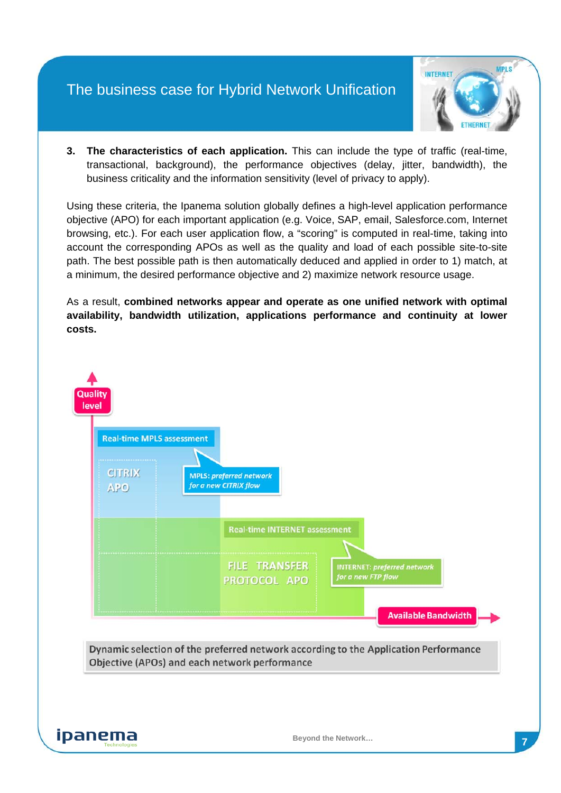

**3. The characteristics of each application.** This can include the type of traffic (real-time, transactional, background), the performance objectives (delay, jitter, bandwidth), the business criticality and the information sensitivity (level of privacy to apply).

Using these criteria, the Ipanema solution globally defines a high-level application performance objective (APO) for each important application (e.g. Voice, SAP, email, Salesforce.com, Internet browsing, etc.). For each user application flow, a "scoring" is computed in real-time, taking into account the corresponding APOs as well as the quality and load of each possible site-to-site path. The best possible path is then automatically deduced and applied in order to 1) match, at a minimum, the desired performance objective and 2) maximize network resource usage.

As a result, **combined networks appear and operate as one unified network with optimal availability, bandwidth utilization, applications performance and continuity at lower costs.**

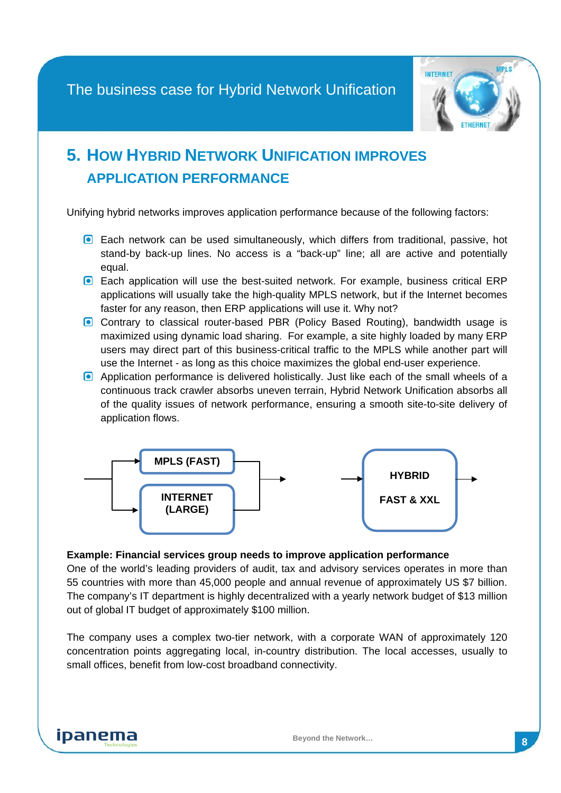

# <span id="page-7-0"></span>**5. HOW HYBRID NETWORK UNIFICATION IMPROVES APPLICATION PERFORMANCE**

Unifying hybrid networks improves application performance because of the following factors:

- Each network can be used simultaneously, which differs from traditional, passive, hot stand-by back-up lines. No access is a "back-up" line; all are active and potentially equal.
- **Each application will use the best-suited network. For example, business critical ERP** applications will usually take the high-quality MPLS network, but if the Internet becomes faster for any reason, then ERP applications will use it. Why not?
- **C** Contrary to classical router-based PBR (Policy Based Routing), bandwidth usage is maximized using dynamic load sharing. For example, a site highly loaded by many ERP users may direct part of this business-critical traffic to the MPLS while another part will use the Internet - as long as this choice maximizes the global end-user experience.
- Application performance is delivered holistically. Just like each of the small wheels of a continuous track crawler absorbs uneven terrain, Hybrid Network Unification absorbs all of the quality issues of network performance, ensuring a smooth site-to-site delivery of application flows.



#### **Example: Financial services group needs to improve application performance**

One of the world's leading providers of audit, tax and advisory services operates in more than 55 countries with more than 45,000 people and annual revenue of approximately US \$7 billion. The company's IT department is highly decentralized with a yearly network budget of \$13 million out of global IT budget of approximately \$100 million.

The company uses a complex two-tier network, with a corporate WAN of approximately 120 concentration points aggregating local, in-country distribution. The local accesses, usually to small offices, benefit from low-cost broadband connectivity.

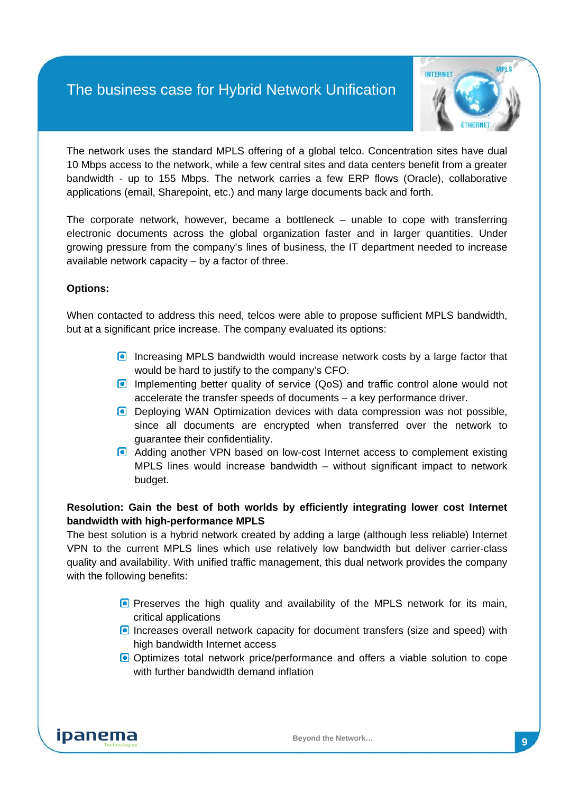

The network uses the standard MPLS offering of a global telco. Concentration sites have dual 10 Mbps access to the network, while a few central sites and data centers benefit from a greater bandwidth - up to 155 Mbps. The network carries a few ERP flows (Oracle), collaborative applications (email, Sharepoint, etc.) and many large documents back and forth.

The corporate network, however, became a bottleneck – unable to cope with transferring electronic documents across the global organization faster and in larger quantities. Under growing pressure from the company's lines of business, the IT department needed to increase available network capacity – by a factor of three.

#### **Options:**

When contacted to address this need, telcos were able to propose sufficient MPLS bandwidth, but at a significant price increase. The company evaluated its options:

- Increasing MPLS bandwidth would increase network costs by a large factor that would be hard to justify to the company's CFO.
- **Implementing better quality of service (QoS) and traffic control alone would not** accelerate the transfer speeds of documents – a key performance driver.
- **Deploying WAN Optimization devices with data compression was not possible,** since all documents are encrypted when transferred over the network to guarantee their confidentiality.
- **a** Adding another VPN based on low-cost Internet access to complement existing MPLS lines would increase bandwidth – without significant impact to network budget.

#### **Resolution: Gain the best of both worlds by efficiently integrating lower cost Internet bandwidth with high-performance MPLS**

The best solution is a hybrid network created by adding a large (although less reliable) Internet VPN to the current MPLS lines which use relatively low bandwidth but deliver carrier-class quality and availability. With unified traffic management, this dual network provides the company with the following benefits:

- **P** Preserves the high quality and availability of the MPLS network for its main, critical applications
- **Increases overall network capacity for document transfers (size and speed) with** high bandwidth Internet access
- Optimizes total network price/performance and offers a viable solution to cope with further bandwidth demand inflation

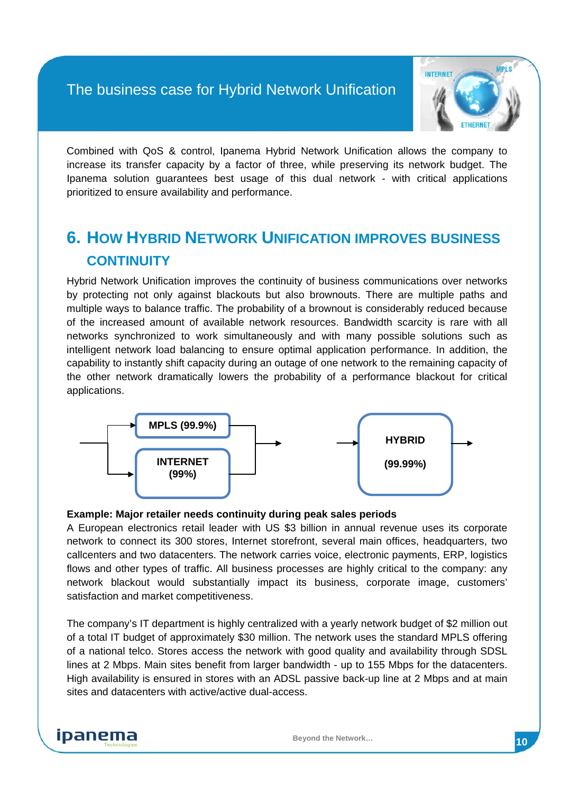

Combined with QoS & control, Ipanema Hybrid Network Unification allows the company to increase its transfer capacity by a factor of three, while preserving its network budget. The Ipanema solution guarantees best usage of this dual network - with critical applications prioritized to ensure availability and performance.

# <span id="page-9-0"></span>**6. HOW HYBRID NETWORK UNIFICATION IMPROVES BUSINESS CONTINUITY**

Hybrid Network Unification improves the continuity of business communications over networks by protecting not only against blackouts but also brownouts. There are multiple paths and multiple ways to balance traffic. The probability of a brownout is considerably reduced because of the increased amount of available network resources. Bandwidth scarcity is rare with all networks synchronized to work simultaneously and with many possible solutions such as intelligent network load balancing to ensure optimal application performance. In addition, the capability to instantly shift capacity during an outage of one network to the remaining capacity of the other network dramatically lowers the probability of a performance blackout for critical applications.



#### **Example: Major retailer needs continuity during peak sales periods**

A European electronics retail leader with US \$3 billion in annual revenue uses its corporate network to connect its 300 stores, Internet storefront, several main offices, headquarters, two callcenters and two datacenters. The network carries voice, electronic payments, ERP, logistics flows and other types of traffic. All business processes are highly critical to the company: any network blackout would substantially impact its business, corporate image, customers' satisfaction and market competitiveness.

The company's IT department is highly centralized with a yearly network budget of \$2 million out of a total IT budget of approximately \$30 million. The network uses the standard MPLS offering of a national telco. Stores access the network with good quality and availability through SDSL lines at 2 Mbps. Main sites benefit from larger bandwidth - up to 155 Mbps for the datacenters. High availability is ensured in stores with an ADSL passive back-up line at 2 Mbps and at main sites and datacenters with active/active dual-access.

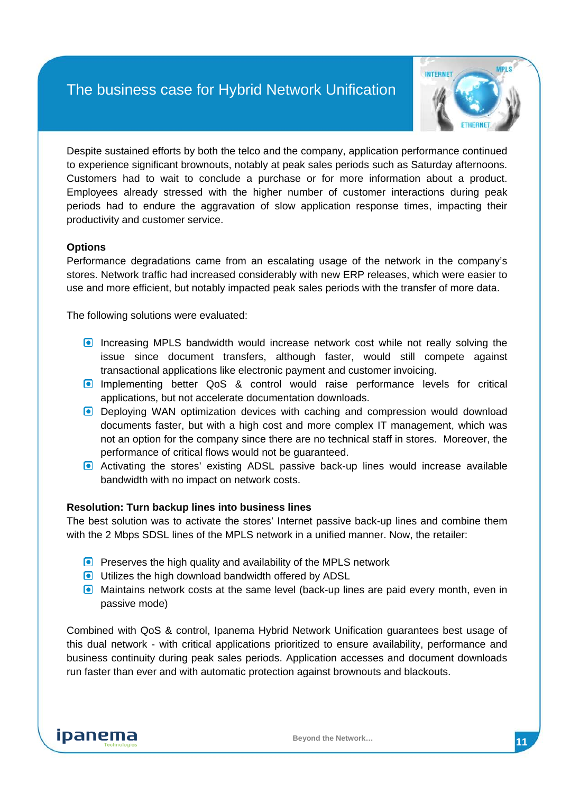

Despite sustained efforts by both the telco and the company, application performance continued to experience significant brownouts, notably at peak sales periods such as Saturday afternoons. Customers had to wait to conclude a purchase or for more information about a product. Employees already stressed with the higher number of customer interactions during peak periods had to endure the aggravation of slow application response times, impacting their productivity and customer service.

#### **Options**

Performance degradations came from an escalating usage of the network in the company's stores. Network traffic had increased considerably with new ERP releases, which were easier to use and more efficient, but notably impacted peak sales periods with the transfer of more data.

The following solutions were evaluated:

- **Increasing MPLS bandwidth would increase network cost while not really solving the** issue since document transfers, although faster, would still compete against transactional applications like electronic payment and customer invoicing.
- **Implementing better QoS & control would raise performance levels for critical** applications, but not accelerate documentation downloads.
- **Deploying WAN optimization devices with caching and compression would download** documents faster, but with a high cost and more complex IT management, which was not an option for the company since there are no technical staff in stores. Moreover, the performance of critical flows would not be guaranteed.
- **a** Activating the stores' existing ADSL passive back-up lines would increase available bandwidth with no impact on network costs.

#### **Resolution: Turn backup lines into business lines**

The best solution was to activate the stores' Internet passive back-up lines and combine them with the 2 Mbps SDSL lines of the MPLS network in a unified manner. Now, the retailer:

- **Preserves the high quality and availability of the MPLS network**
- **O** Utilizes the high download bandwidth offered by ADSL
- **Maintains network costs at the same level (back-up lines are paid every month, even in** passive mode)

Combined with QoS & control, Ipanema Hybrid Network Unification guarantees best usage of this dual network - with critical applications prioritized to ensure availability, performance and business continuity during peak sales periods. Application accesses and document downloads run faster than ever and with automatic protection against brownouts and blackouts.

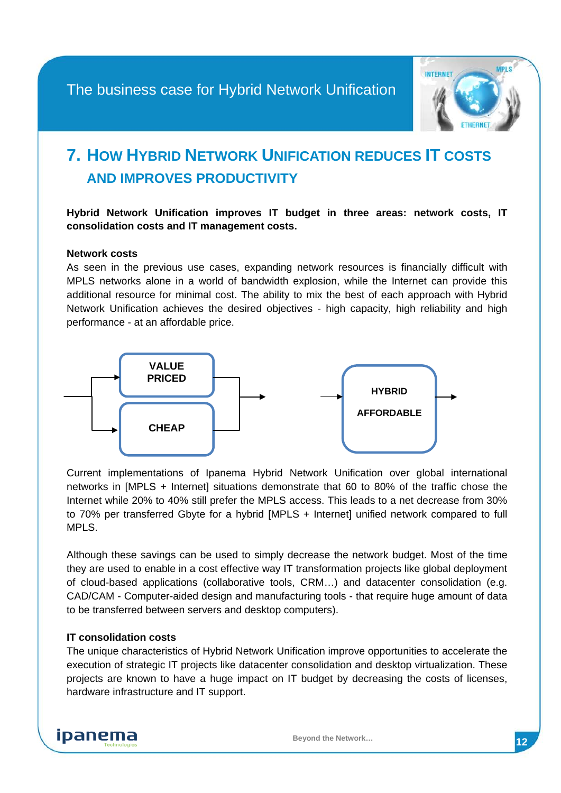

# <span id="page-11-0"></span>**7. HOW HYBRID NETWORK UNIFICATION REDUCES IT COSTS AND IMPROVES PRODUCTIVITY**

**Hybrid Network Unification improves IT budget in three areas: network costs, IT consolidation costs and IT management costs.**

#### **Network costs**

As seen in the previous use cases, expanding network resources is financially difficult with MPLS networks alone in a world of bandwidth explosion, while the Internet can provide this additional resource for minimal cost. The ability to mix the best of each approach with Hybrid Network Unification achieves the desired objectives - high capacity, high reliability and high performance - at an affordable price.



Current implementations of Ipanema Hybrid Network Unification over global international networks in [MPLS + Internet] situations demonstrate that 60 to 80% of the traffic chose the Internet while 20% to 40% still prefer the MPLS access. This leads to a net decrease from 30% to 70% per transferred Gbyte for a hybrid [MPLS + Internet] unified network compared to full MPLS.

Although these savings can be used to simply decrease the network budget. Most of the time they are used to enable in a cost effective way IT transformation projects like global deployment of cloud-based applications (collaborative tools, CRM…) and datacenter consolidation (e.g. CAD/CAM - Computer-aided design and manufacturing tools - that require huge amount of data to be transferred between servers and desktop computers).

#### **IT consolidation costs**

The unique characteristics of Hybrid Network Unification improve opportunities to accelerate the execution of strategic IT projects like datacenter consolidation and desktop virtualization. These projects are known to have a huge impact on IT budget by decreasing the costs of licenses, hardware infrastructure and IT support.

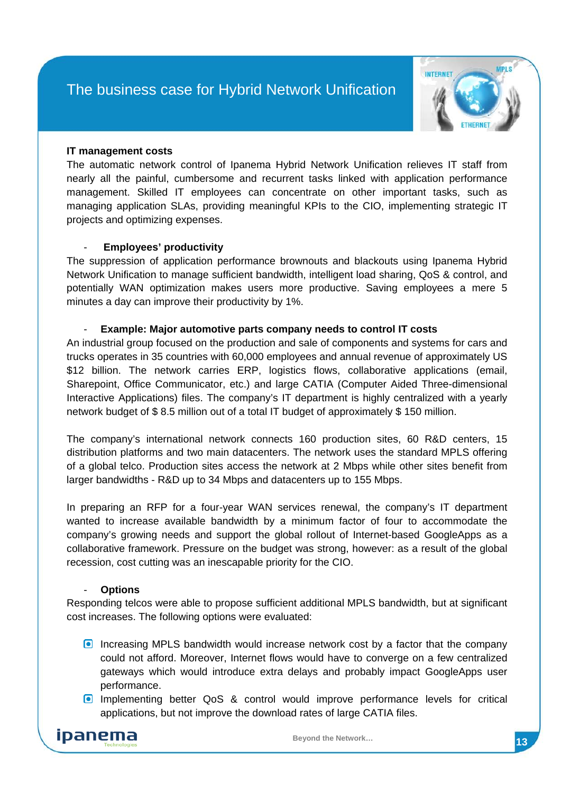

#### **IT management costs**

The automatic network control of Ipanema Hybrid Network Unification relieves IT staff from nearly all the painful, cumbersome and recurrent tasks linked with application performance management. Skilled IT employees can concentrate on other important tasks, such as managing application SLAs, providing meaningful KPIs to the CIO, implementing strategic IT projects and optimizing expenses.

#### - **Employees' productivity**

The suppression of application performance brownouts and blackouts using Ipanema Hybrid Network Unification to manage sufficient bandwidth, intelligent load sharing, QoS & control, and potentially WAN optimization makes users more productive. Saving employees a mere 5 minutes a day can improve their productivity by 1%.

#### - **Example: Major automotive parts company needs to control IT costs**

An industrial group focused on the production and sale of components and systems for cars and trucks operates in 35 countries with 60,000 employees and annual revenue of approximately US \$12 billion. The network carries ERP, logistics flows, collaborative applications (email, Sharepoint, Office Communicator, etc.) and large CATIA (Computer Aided Three-dimensional Interactive Applications) files. The company's IT department is highly centralized with a yearly network budget of \$ 8.5 million out of a total IT budget of approximately \$ 150 million.

The company's international network connects 160 production sites, 60 R&D centers, 15 distribution platforms and two main datacenters. The network uses the standard MPLS offering of a global telco. Production sites access the network at 2 Mbps while other sites benefit from larger bandwidths - R&D up to 34 Mbps and datacenters up to 155 Mbps.

In preparing an RFP for a four-year WAN services renewal, the company's IT department wanted to increase available bandwidth by a minimum factor of four to accommodate the company's growing needs and support the global rollout of Internet-based GoogleApps as a collaborative framework. Pressure on the budget was strong, however: as a result of the global recession, cost cutting was an inescapable priority for the CIO.

#### - **Options**

Responding telcos were able to propose sufficient additional MPLS bandwidth, but at significant cost increases. The following options were evaluated:

- **Increasing MPLS bandwidth would increase network cost by a factor that the company** could not afford. Moreover, Internet flows would have to converge on a few centralized gateways which would introduce extra delays and probably impact GoogleApps user performance.
- **Implementing better QoS & control would improve performance levels for critical** applications, but not improve the download rates of large CATIA files.

ipanema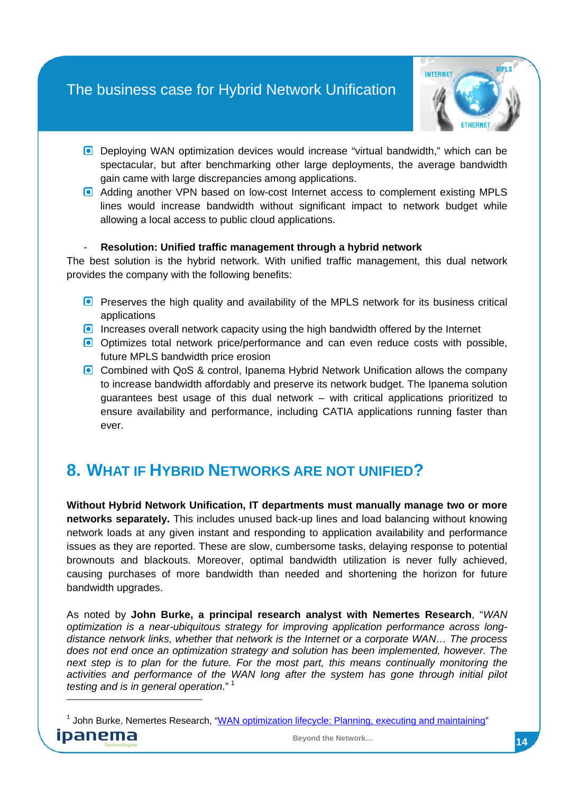

- **Deploying WAN optimization devices would increase "virtual bandwidth," which can be** spectacular, but after benchmarking other large deployments, the average bandwidth gain came with large discrepancies among applications.
- Adding another VPN based on low-cost Internet access to complement existing MPLS lines would increase bandwidth without significant impact to network budget while allowing a local access to public cloud applications.

#### - **Resolution: Unified traffic management through a hybrid network**

The best solution is the hybrid network. With unified traffic management, this dual network provides the company with the following benefits:

- **Preserves the high quality and availability of the MPLS network for its business critical** applications
- Increases overall network capacity using the high bandwidth offered by the Internet
- Optimizes total network price/performance and can even reduce costs with possible, future MPLS bandwidth price erosion
- Combined with QoS & control, Ipanema Hybrid Network Unification allows the company to increase bandwidth affordably and preserve its network budget. The Ipanema solution guarantees best usage of this dual network – with critical applications prioritized to ensure availability and performance, including CATIA applications running faster than ever.

# <span id="page-13-0"></span>**8. WHAT IF HYBRID NETWORKS ARE NOT UNIFIED?**

**Without Hybrid Network Unification, IT departments must manually manage two or more networks separately.** This includes unused back-up lines and load balancing without knowing network loads at any given instant and responding to application availability and performance issues as they are reported. These are slow, cumbersome tasks, delaying response to potential brownouts and blackouts. Moreover, optimal bandwidth utilization is never fully achieved, causing purchases of more bandwidth than needed and shortening the horizon for future bandwidth upgrades.

As noted by **John Burke, a principal research analyst with Nemertes Research**, "*WAN optimization is a near-ubiquitous strategy for improving application performance across longdistance network links, whether that network is the Internet or a corporate WAN… The process does not end once an optimization strategy and solution has been implemented, however. The next step is to plan for the future. For the most part, this means continually monitoring the activities and performance of the WAN long after the system has gone through initial pilot testing and is in general operation*." [1](#page-13-1)

<span id="page-13-1"></span><sup>&</sup>lt;sup>1</sup> John Burke, Nemertes Research, ["WAN optimization lifecycle: Planning, executing and maintaining"](http://searchenterprisewan.techtarget.com/generic/0,295582,sid200_gci1367754,00.html)



-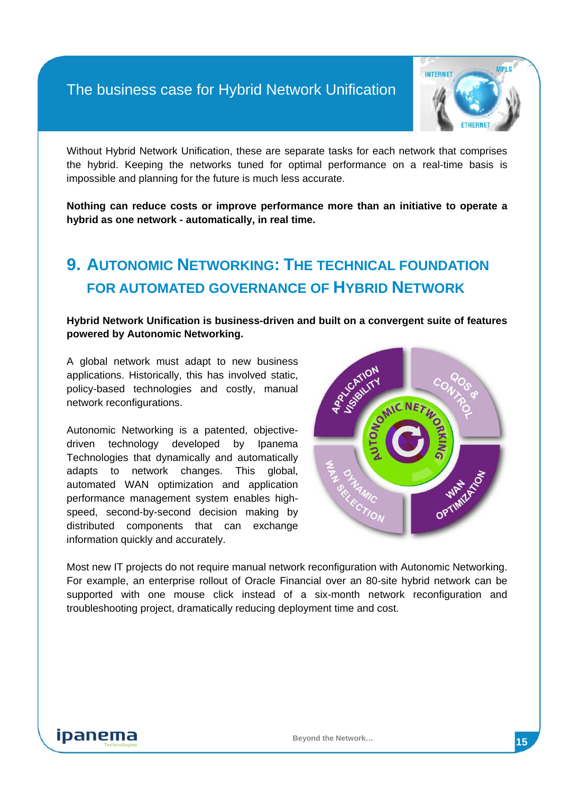

Without Hybrid Network Unification, these are separate tasks for each network that comprises the hybrid. Keeping the networks tuned for optimal performance on a real-time basis is impossible and planning for the future is much less accurate.

**Nothing can reduce costs or improve performance more than an initiative to operate a hybrid as one network - automatically, in real time.**

# <span id="page-14-0"></span>**9. AUTONOMIC NETWORKING: THE TECHNICAL FOUNDATION FOR AUTOMATED GOVERNANCE OF HYBRID NETWORK**

**Hybrid Network Unification is business-driven and built on a convergent suite of features powered by Autonomic Networking.**

A global network must adapt to new business applications. Historically, this has involved static, policy-based technologies and costly, manual network reconfigurations.

Autonomic Networking is a patented, objectivedriven technology developed by Ipanema Technologies that dynamically and automatically adapts to network changes. This global, automated WAN optimization and application performance management system enables highspeed, second-by-second decision making by distributed components that can exchange information quickly and accurately.



Most new IT projects do not require manual network reconfiguration with Autonomic Networking. For example, an enterprise rollout of Oracle Financial over an 80-site hybrid network can be supported with one mouse click instead of a six-month network reconfiguration and troubleshooting project, dramatically reducing deployment time and cost.

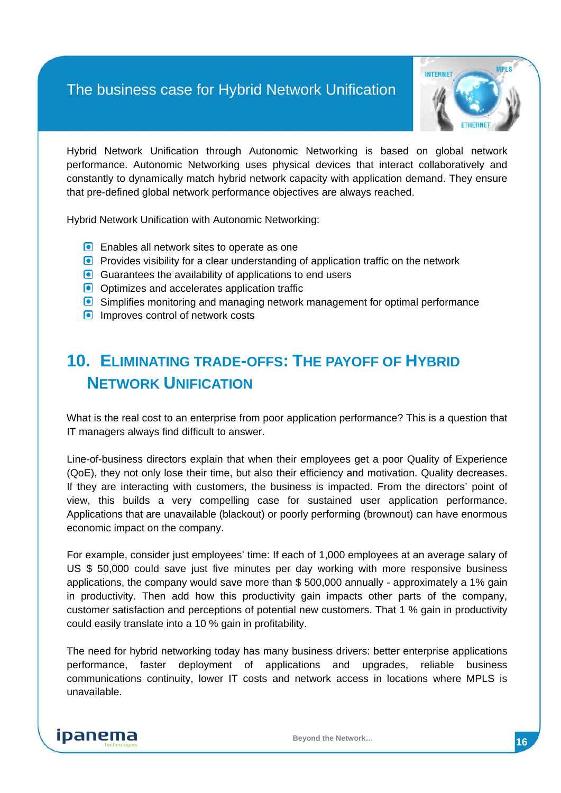

Hybrid Network Unification through Autonomic Networking is based on global network performance. Autonomic Networking uses physical devices that interact collaboratively and constantly to dynamically match hybrid network capacity with application demand. They ensure that pre-defined global network performance objectives are always reached.

Hybrid Network Unification with Autonomic Networking:

- **Enables all network sites to operate as one**
- **P** Provides visibility for a clear understanding of application traffic on the network
- Guarantees the availability of applications to end users
- Optimizes and accelerates application traffic
- Simplifies monitoring and managing network management for optimal performance
- **IMPROVES CONTROL OF NETWORK COSTS**

# <span id="page-15-0"></span>**10. ELIMINATING TRADE-OFFS: THE PAYOFF OF HYBRID NETWORK UNIFICATION**

What is the real cost to an enterprise from poor application performance? This is a question that IT managers always find difficult to answer.

Line-of-business directors explain that when their employees get a poor Quality of Experience (QoE), they not only lose their time, but also their efficiency and motivation. Quality decreases. If they are interacting with customers, the business is impacted. From the directors' point of view, this builds a very compelling case for sustained user application performance. Applications that are unavailable (blackout) or poorly performing (brownout) can have enormous economic impact on the company.

For example, consider just employees' time: If each of 1,000 employees at an average salary of US \$ 50,000 could save just five minutes per day working with more responsive business applications, the company would save more than \$ 500,000 annually - approximately a 1% gain in productivity. Then add how this productivity gain impacts other parts of the company, customer satisfaction and perceptions of potential new customers. That 1 % gain in productivity could easily translate into a 10 % gain in profitability.

The need for hybrid networking today has many business drivers: better enterprise applications performance, faster deployment of applications and upgrades, reliable business communications continuity, lower IT costs and network access in locations where MPLS is unavailable.

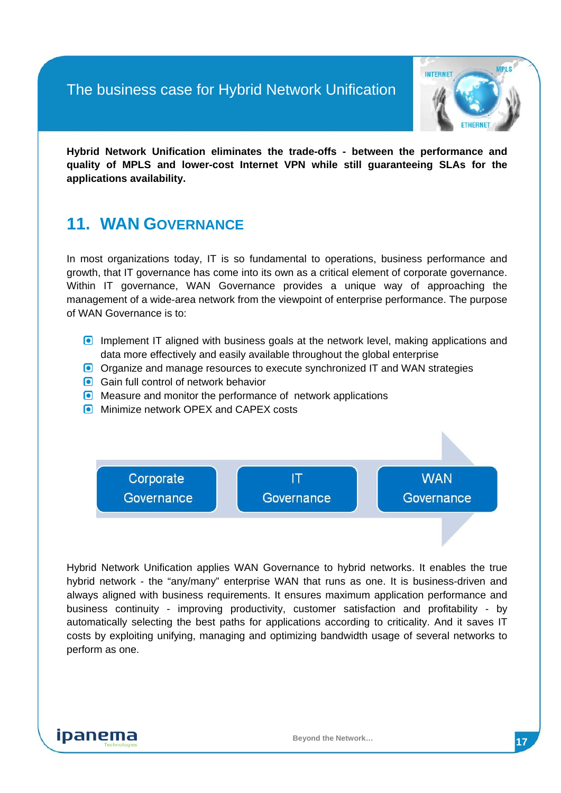

**Hybrid Network Unification eliminates the trade-offs - between the performance and quality of MPLS and lower-cost Internet VPN while still guaranteeing SLAs for the applications availability.**

## <span id="page-16-0"></span>**11. WAN GOVERNANCE**

In most organizations today, IT is so fundamental to operations, business performance and growth, that IT governance has come into its own as a critical element of corporate governance. Within IT governance, WAN Governance provides a unique way of approaching the management of a wide-area network from the viewpoint of enterprise performance. The purpose of WAN Governance is to:

- **Implement IT aligned with business goals at the network level, making applications and** data more effectively and easily available throughout the global enterprise
- Organize and manage resources to execute synchronized IT and WAN strategies
- Gain full control of network behavior
- **O** Measure and monitor the performance of network applications
- **Minimize network OPEX and CAPEX costs**



Hybrid Network Unification applies WAN Governance to hybrid networks. It enables the true hybrid network - the "any/many" enterprise WAN that runs as one. It is business-driven and always aligned with business requirements. It ensures maximum application performance and business continuity - improving productivity, customer satisfaction and profitability - by automatically selecting the best paths for applications according to criticality. And it saves IT costs by exploiting unifying, managing and optimizing bandwidth usage of several networks to perform as one.

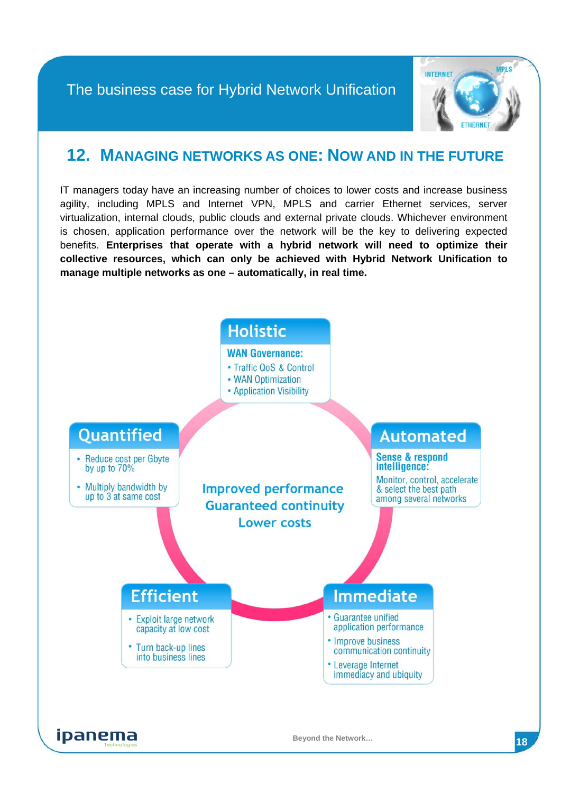

### <span id="page-17-0"></span>**12. MANAGING NETWORKS AS ONE: NOW AND IN THE FUTURE**

IT managers today have an increasing number of choices to lower costs and increase business agility, including MPLS and Internet VPN, MPLS and carrier Ethernet services, server virtualization, internal clouds, public clouds and external private clouds. Whichever environment is chosen, application performance over the network will be the key to delivering expected benefits. **Enterprises that operate with a hybrid network will need to optimize their collective resources, which can only be achieved with Hybrid Network Unification to manage multiple networks as one – automatically, in real time.**

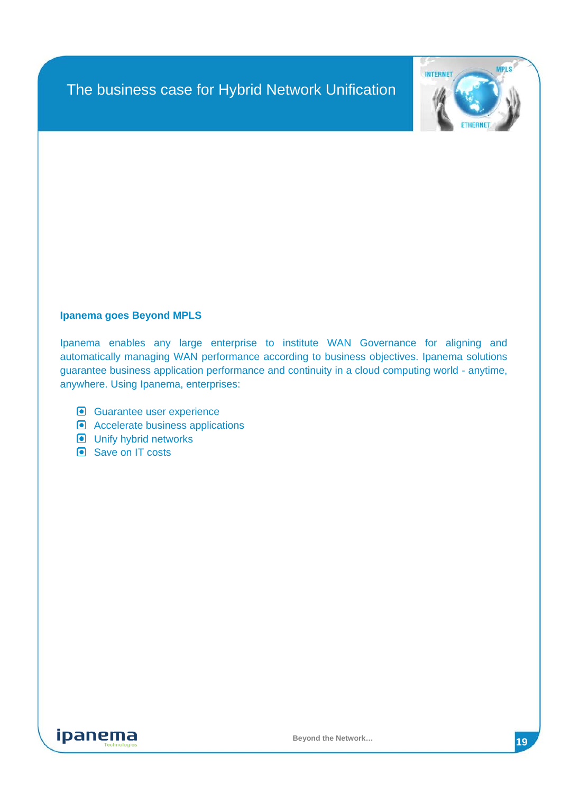

#### **Ipanema goes Beyond MPLS**

Ipanema enables any large enterprise to institute WAN Governance for aligning and automatically managing WAN performance according to business objectives. Ipanema solutions guarantee business application performance and continuity in a cloud computing world - anytime, anywhere. Using Ipanema, enterprises:

- Guarantee user experience
- **Accelerate business applications**
- **O** Unify hybrid networks
- Save on IT costs